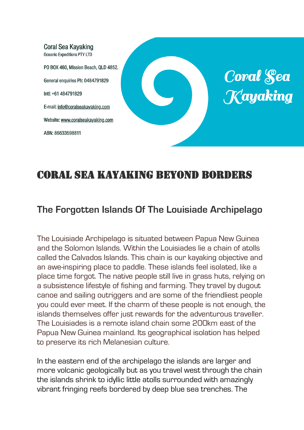

# CORAL SEA KAYAKING BEYOND BORDERS

# **The Forgotten Islands Of The Louisiade Archipelago**

The Louisiade Archipelago is situated between Papua New Guinea and the Solomon Islands. Within the Louisiades lie a chain of atolls called the Calvados Islands. This chain is our kayaking objective and an awe-inspiring place to paddle. These islands feel isolated, like a place time forgot. The native people still live in grass huts, relying on a subsistence lifestyle of fishing and farming. They travel by dugout canoe and sailing outriggers and are some of the friendliest people you could ever meet. If the charm of these people is not enough, the islands themselves offer just rewards for the adventurous traveller. The Louisiades is a remote island chain some 200km east of the Papua New Guinea mainland. Its geographical isolation has helped to preserve its rich Melanesian culture.

In the eastern end of the archipelago the islands are larger and more volcanic geologically but as you travel west through the chain the islands shrink to idyllic little atolls surrounded with amazingly vibrant fringing reefs bordered by deep blue sea trenches. The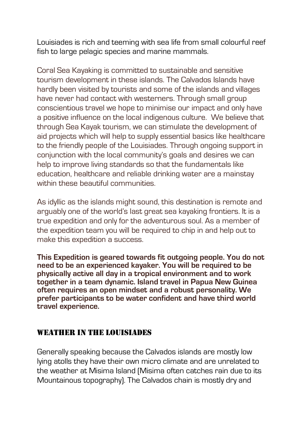Louisiades is rich and teeming with sea life from small colourful reef fish to large pelagic species and marine mammals.

Coral Sea Kayaking is committed to sustainable and sensitive tourism development in these islands. The Calvados Islands have hardly been visited by tourists and some of the islands and villages have never had contact with westerners. Through small group conscientious travel we hope to minimise our impact and only have a positive influence on the local indigenous culture. We believe that through Sea Kayak tourism, we can stimulate the development of aid projects which will help to supply essential basics like healthcare to the friendly people of the Louisiades. Through ongoing support in conjunction with the local community's goals and desires we can help to improve living standards so that the fundamentals like education, healthcare and reliable drinking water are a mainstay within these beautiful communities

As idyllic as the islands might sound, this destination is remote and arguably one of the world's last great sea kayaking frontiers. It is a true expedition and only for the adventurous soul. As a member of the expedition team you will be required to chip in and help out to make this expedition a success.

**This Expedition is geared towards fit outgoing people. You do not need to be an experienced kayaker. You will be required to be physically active all day in a tropical environment and to work together in a team dynamic. Island travel in Papua New Guinea often requires an open mindset and a robust personality. We prefer participants to be water confident and have third world travel experience.** 

#### WEATHER IN THE LOUISIADES

Generally speaking because the Calvados islands are mostly low lying atolls they have their own micro climate and are unrelated to the weather at Misima Island (Misima often catches rain due to its Mountainous topography). The Calvados chain is mostly dry and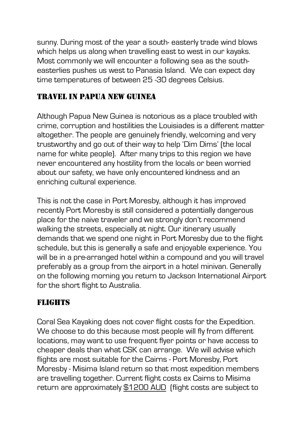sunny. During most of the year a south- easterly trade wind blows which helps us along when travelling east to west in our kayaks. Most commonly we will encounter a following sea as the southeasterlies pushes us west to Panasia Island. We can expect day time temperatures of between 25 -30 degrees Celsius.

# TRAVEL IN PAPUA NEW GUINEA

Although Papua New Guinea is notorious as a place troubled with crime, corruption and hostilities the Louisiades is a different matter altogether. The people are genuinely friendly, welcoming and very trustworthy and go out of their way to help 'Dim Dims' (the local name for white people). After many trips to this region we have never encountered any hostility from the locals or been worried about our safety, we have only encountered kindness and an enriching cultural experience.

This is not the case in Port Moresby, although it has improved recently Port Moresby is still considered a potentially dangerous place for the naive traveler and we strongly don't recommend walking the streets, especially at night. Our itinerary usually demands that we spend one night in Port Moresby due to the flight schedule, but this is generally a safe and enjoyable experience. You will be in a pre-arranged hotel within a compound and you will travel preferably as a group from the airport in a hotel minivan. Generally on the following morning you return to Jackson International Airport for the short flight to Australia.

# FLIGHTS

Coral Sea Kayaking does not cover flight costs for the Expedition. We choose to do this because most people will fly from different locations, may want to use frequent flyer points or have access to cheaper deals than what CSK can arrange. We will advise which flights are most suitable for the Cairns - Port Moresby, Port Moresby - Misima Island return so that most expedition members are travelling together. Current flight costs ex Cairns to Misima return are approximately \$1200 AUD (flight costs are subject to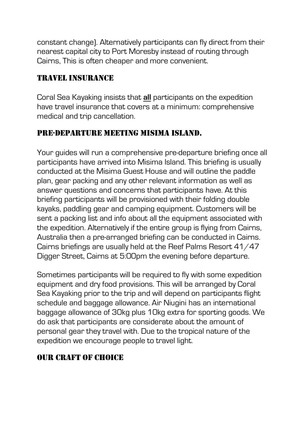constant change). Alternatively participants can fly direct from their nearest capital city to Port Moresby instead of routing through Cairns, This is often cheaper and more convenient.

## TRAVEL INSURANCE

Coral Sea Kayaking insists that **all** participants on the expedition have travel insurance that covers at a minimum: comprehensive medical and trip cancellation.

## PRE-DEPARTURE MEETING MISIMA ISLAND.

Your guides will run a comprehensive pre-departure briefing once all participants have arrived into Misima Island. This briefing is usually conducted at the Misima Guest House and will outline the paddle plan, gear packing and any other relevant information as well as answer questions and concerns that participants have. At this briefing participants will be provisioned with their folding double kayaks, paddling gear and camping equipment. Customers will be sent a packing list and info about all the equipment associated with the expedition. Alternatively if the entire group is flying from Cairns, Australia then a pre-arranged briefing can be conducted in Cairns. Cairns briefings are usually held at the Reef Palms Resort 41/47 Digger Street, Cairns at 5:00pm the evening before departure.

Sometimes participants will be required to fly with some expedition equipment and dry food provisions. This will be arranged by Coral Sea Kayaking prior to the trip and will depend on participants flight schedule and baggage allowance. Air Niugini has an international baggage allowance of 30kg plus 10kg extra for sporting goods. We do ask that participants are considerate about the amount of personal gear they travel with. Due to the tropical nature of the expedition we encourage people to travel light.

## OUR CRAFT OF CHOICE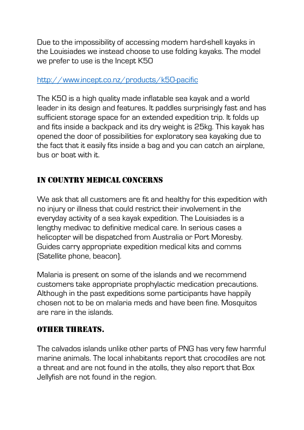Due to the impossibility of accessing modern hard-shell kayaks in the Louisiades we instead choose to use folding kayaks. The model we prefer to use is the Incept K50

#### http://www.incept.co.nz/products/k50-pacific

The K50 is a high quality made inflatable sea kayak and a world leader in its design and features. It paddles surprisingly fast and has sufficient storage space for an extended expedition trip. It folds up and fits inside a backpack and its dry weight is 25kg. This kayak has opened the door of possibilities for exploratory sea kayaking due to the fact that it easily fits inside a bag and you can catch an airplane, bus or boat with it.

## IN COUNTRY MEDICAL CONCERNS

We ask that all customers are fit and healthy for this expedition with no injury or illness that could restrict their involvement in the everyday activity of a sea kayak expedition. The Louisiades is a lengthy medivac to definitive medical care. In serious cases a helicopter will be dispatched from Australia or Port Moresby. Guides carry appropriate expedition medical kits and comms (Satellite phone, beacon).

Malaria is present on some of the islands and we recommend customers take appropriate prophylactic medication precautions. Although in the past expeditions some participants have happily chosen not to be on malaria meds and have been fine. Mosquitos are rare in the islands.

### OTHER THREATS.

The calvados islands unlike other parts of PNG has very few harmful marine animals. The local inhabitants report that crocodiles are not a threat and are not found in the atolls, they also report that Box Jellyfish are not found in the region.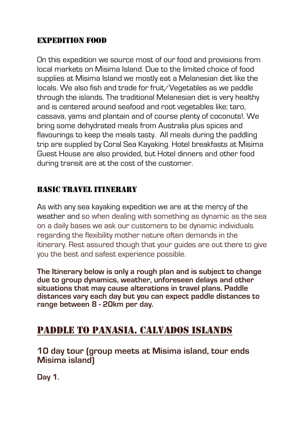### EXPEDITION FOOD

On this expedition we source most of our food and provisions from local markets on Misima Island. Due to the limited choice of food supplies at Misima Island we mostly eat a Melanesian diet like the locals. We also fish and trade for fruit/Vegetables as we paddle through the islands. The traditional Melanesian diet is very healthy and is centered around seafood and root vegetables like; taro, cassava, yams and plantain and of course plenty of coconuts!. We bring some dehydrated meals from Australia plus spices and flavourings to keep the meals tasty. All meals during the paddling trip are supplied by Coral Sea Kayaking. Hotel breakfasts at Misima Guest House are also provided, but Hotel dinners and other food during transit are at the cost of the customer.

### BASIC TRAVEL ITINERARY

As with any sea kayaking expedition we are at the mercy of the weather and so when dealing with something as dynamic as the sea on a daily bases we ask our customers to be dynamic individuals regarding the flexibility mother nature often demands in the itinerary. Rest assured though that your guides are out there to give you the best and safest experience possible.

**The Itinerary below is only a rough plan and is subject to change due to group dynamics, weather, unforeseen delays and other situations that may cause alterations in travel plans. Paddle distances vary each day but you can expect paddle distances to range between 8 - 20km per day.** 

# PADDLE TO PANASIA. CALVADOS ISLANDS

**10 day tour (group meets at Misima island, tour ends Misima island)**

**Day 1.**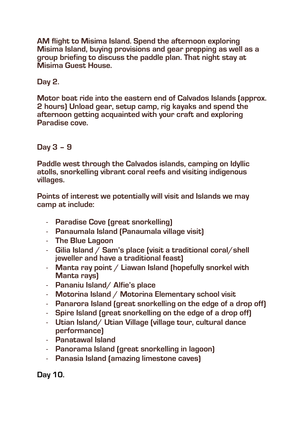**AM flight to Misima Island. Spend the afternoon exploring Misima Island, buying provisions and gear prepping as well as a group briefing to discuss the paddle plan. That night stay at Misima Guest House.** 

**Day 2.**

**Motor boat ride into the eastern end of Calvados Islands (approx. 2 hours) Unload gear, setup camp, rig kayaks and spend the afternoon getting acquainted with your craft and exploring Paradise cove.**

**Day 3 – 9**

**Paddle west through the Calvados islands, camping on Idyllic atolls, snorkelling vibrant coral reefs and visiting indigenous villages.** 

**Points of interest we potentially will visit and Islands we may camp at include:** 

- **Paradise Cove (great snorkelling)**
- **Panaumala Island (Panaumala village visit)**
- **The Blue Lagoon**
- **Gilia Island / Sam's place (visit a traditional coral/shell jeweller and have a traditional feast)**
- **Manta ray point / Liawan Island (hopefully snorkel with Manta rays)**
- **Pananiu Island/ Alfie's place**
- **Motorina Island / Motorina Elementary school visit**
- **Panarora Island (great snorkelling on the edge of a drop off)**
- **Spire Island (great snorkelling on the edge of a drop off)**
- **Utian Island/ Utian Village (village tour, cultural dance performance)**
- **Panatawal Island**
- **Panorama Island (great snorkelling in lagoon)**
- **Panasia Island (amazing limestone caves)**

**Day 10.**